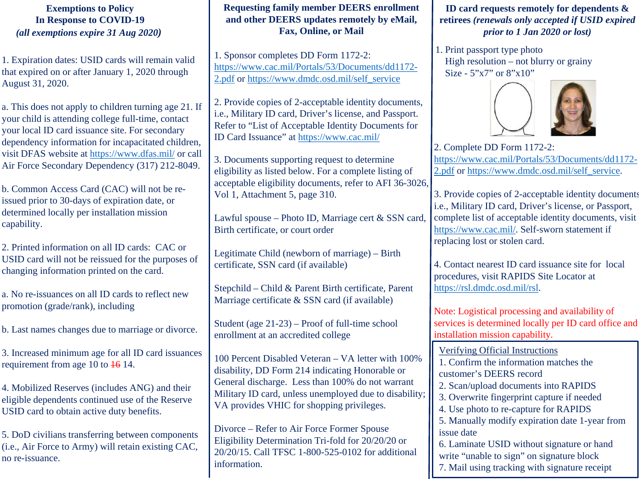# **Exemptions to Policy In Response to COVID-19** *(all exemptions expire 31 Aug 2020)*

1. Expiration dates: USID cards will remain valid that expired on or after January 1, 2020 through August 31, 2020.

a. This does not apply to children turning age 21. If your child is attending college full-time, contact your local ID card issuance site. For secondary dependency information for incapacitated children, visit DFAS website at<https://www.dfas.mil/> or call Air Force Secondary Dependency (317) 212-8049.

b. Common Access Card (CAC) will not be reissued prior to 30-days of expiration date, or determined locally per installation mission capability.

2. Printed information on all ID cards: CAC or USID card will not be reissued for the purposes of changing information printed on the card.

a. No re-issuances on all ID cards to reflect new promotion (grade/rank), including

b. Last names changes due to marriage or divorce.

3. Increased minimum age for all ID card issuances requirement from age 10 to 16 14.

4. Mobilized Reserves (includes ANG) and their eligible dependents continued use of the Reserve USID card to obtain active duty benefits.

5. DoD civilians transferring between components (i.e., Air Force to Army) will retain existing CAC, no re-issuance.

# **Requesting family member DEERS enrollment and other DEERS updates remotely by eMail, Fax, Online, or Mail**

1. Sponsor completes DD Form 1172-2: [https://www.cac.mil/Portals/53/Documents/dd1172-](https://www.cac.mil/Portals/53/Documents/dd1172-2.pdf) 2.pdf or [https://www.dmdc.osd.mil/self\\_service](https://www.dmdc.osd.mil/self_service)

2. Provide copies of 2-acceptable identity documents, i.e., Military ID card, Driver's license, and Passport. Refer to "List of Acceptable Identity Documents for ID Card Issuance" at <https://www.cac.mil/>

3. Documents supporting request to determine eligibility as listed below. For a complete listing of acceptable eligibility documents, refer to AFI 36-3026, Vol 1, Attachment 5, page 310.

Lawful spouse – Photo ID, Marriage cert & SSN card, Birth certificate, or court order

Legitimate Child (newborn of marriage) – Birth certificate, SSN card (if available)

Stepchild – Child & Parent Birth certificate, Parent Marriage certificate & SSN card (if available)

Student (age 21-23) – Proof of full-time school enrollment at an accredited college

100 Percent Disabled Veteran – VA letter with 100% disability, DD Form 214 indicating Honorable or General discharge. Less than 100% do not warrant Military ID card, unless unemployed due to disability; VA provides VHIC for shopping privileges.

Divorce – Refer to Air Force Former Spouse Eligibility Determination Tri-fold for 20/20/20 or 20/20/15. Call TFSC 1-800-525-0102 for additional information.

**ID card requests remotely for dependents & retirees** *(renewals only accepted if USID expired prior to 1 Jan 2020 or lost)*

1. Print passport type photo High resolution – not blurry or grainy Size - 5"x7" or 8"x10"



2. Complete DD Form 1172-2: [https://www.cac.mil/Portals/53/Documents/dd1172-](https://www.cac.mil/Portals/53/Documents/dd1172-2.pdf) 2.pdf or [https://www.dmdc.osd.mil/self\\_service.](https://www.dmdc.osd.mil/self_service)

3. Provide copies of 2-acceptable identity documents i.e., Military ID card, Driver's license, or Passport, complete list of acceptable identity documents, visit [https://www.cac.mil/.](https://www.cac.mil/) Self-sworn statement if replacing lost or stolen card.

4. Contact nearest ID card issuance site for local procedures, visit RAPIDS Site Locator at [https://rsl.dmdc.osd.mil/rsl.](https://rsl.dmdc.osd.mil/rsl)

Note: Logistical processing and availability of services is determined locally per ID card office and installation mission capability.

Verifying Official Instructions 1. Confirm the information matches the customer's DEERS record 2. Scan/upload documents into RAPIDS 3. Overwrite fingerprint capture if needed 4. Use photo to re-capture for RAPIDS 5. Manually modify expiration date 1-year from issue date 6. Laminate USID without signature or hand write "unable to sign" on signature block 7. Mail using tracking with signature receipt